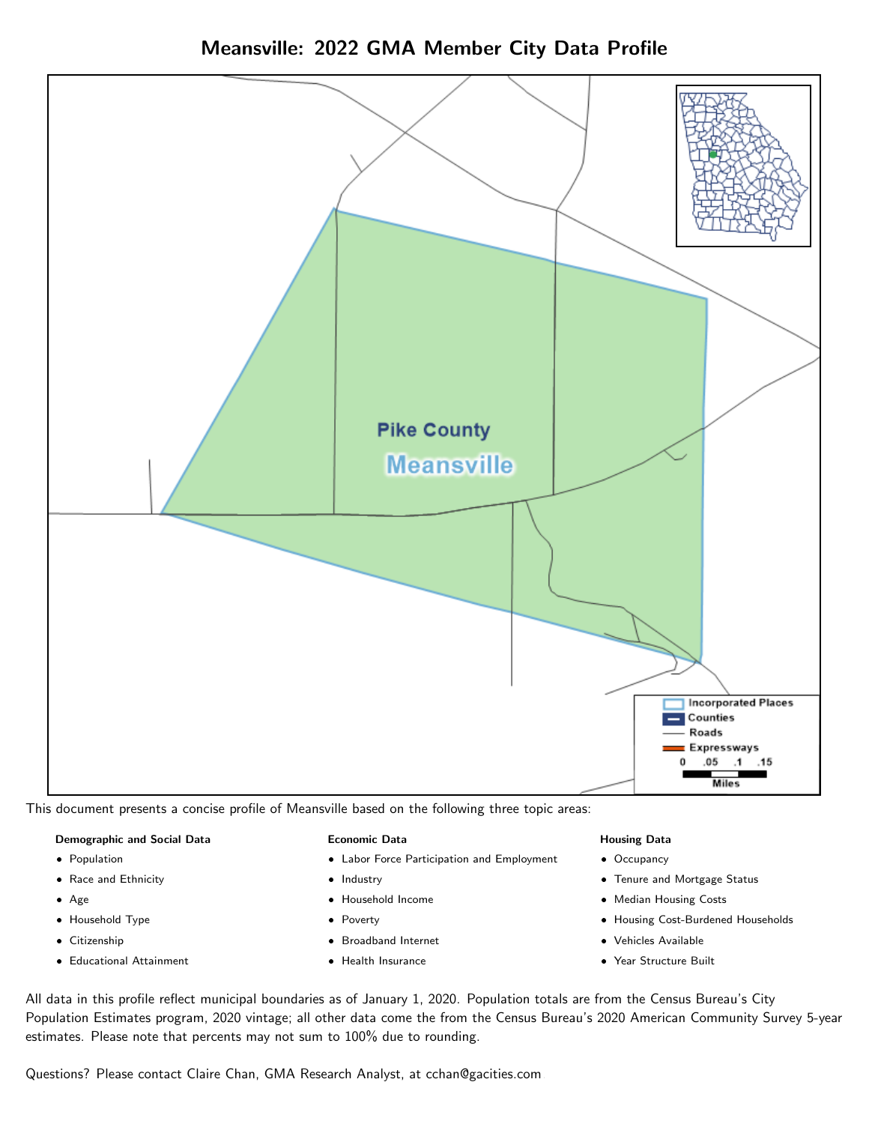



This document presents a concise profile of Meansville based on the following three topic areas:

#### Demographic and Social Data

- **•** Population
- Race and Ethnicity
- Age
- Household Type
- **Citizenship**
- Educational Attainment

#### Economic Data

- Labor Force Participation and Employment
- Industry
- Household Income
- Poverty
- Broadband Internet
- Health Insurance

#### Housing Data

- Occupancy
- Tenure and Mortgage Status
- Median Housing Costs
- Housing Cost-Burdened Households
- Vehicles Available
- Year Structure Built

All data in this profile reflect municipal boundaries as of January 1, 2020. Population totals are from the Census Bureau's City Population Estimates program, 2020 vintage; all other data come the from the Census Bureau's 2020 American Community Survey 5-year estimates. Please note that percents may not sum to 100% due to rounding.

Questions? Please contact Claire Chan, GMA Research Analyst, at [cchan@gacities.com.](mailto:cchan@gacities.com)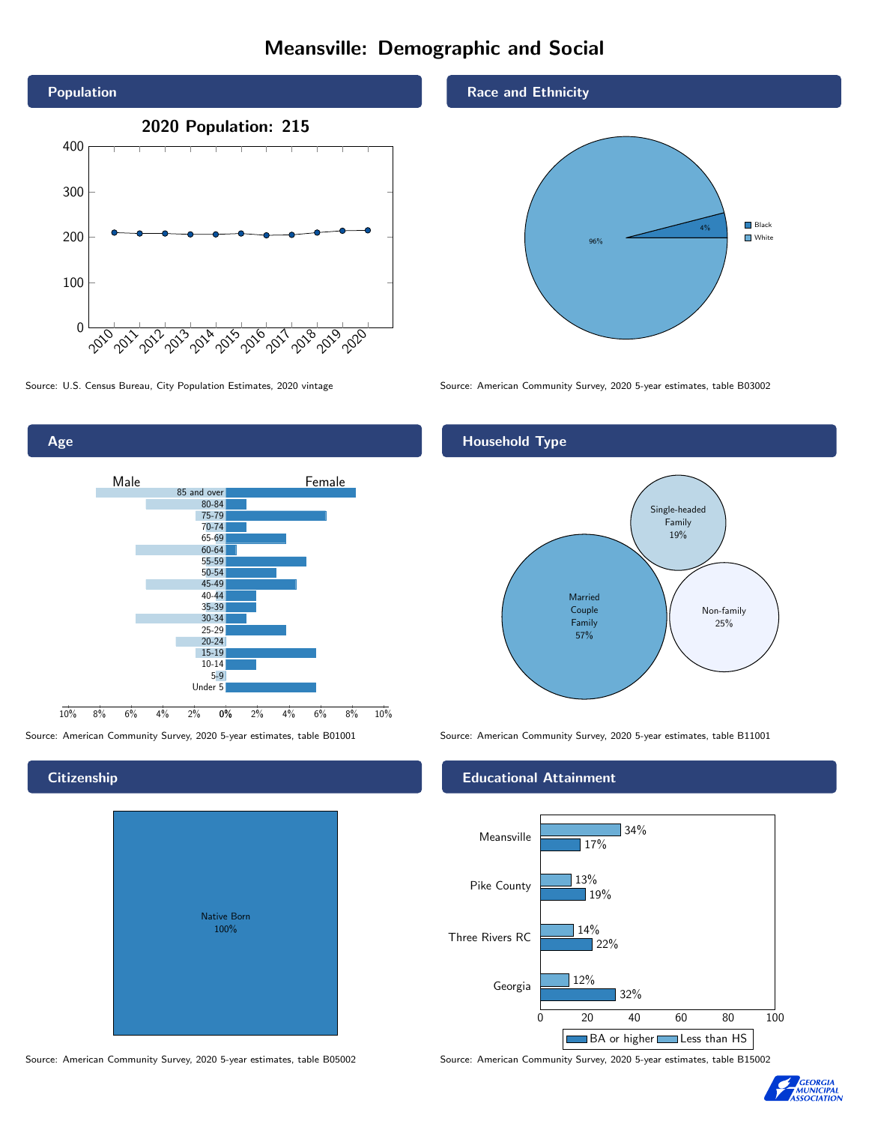# Meansville: Demographic and Social





# **Citizenship**

Age

| Native Born<br>100% |  |
|---------------------|--|

Source: American Community Survey, 2020 5-year estimates, table B05002 Source: American Community Survey, 2020 5-year estimates, table B15002

## Race and Ethnicity



Source: U.S. Census Bureau, City Population Estimates, 2020 vintage Source: American Community Survey, 2020 5-year estimates, table B03002

# Household Type



Source: American Community Survey, 2020 5-year estimates, table B01001 Source: American Community Survey, 2020 5-year estimates, table B11001

### Educational Attainment



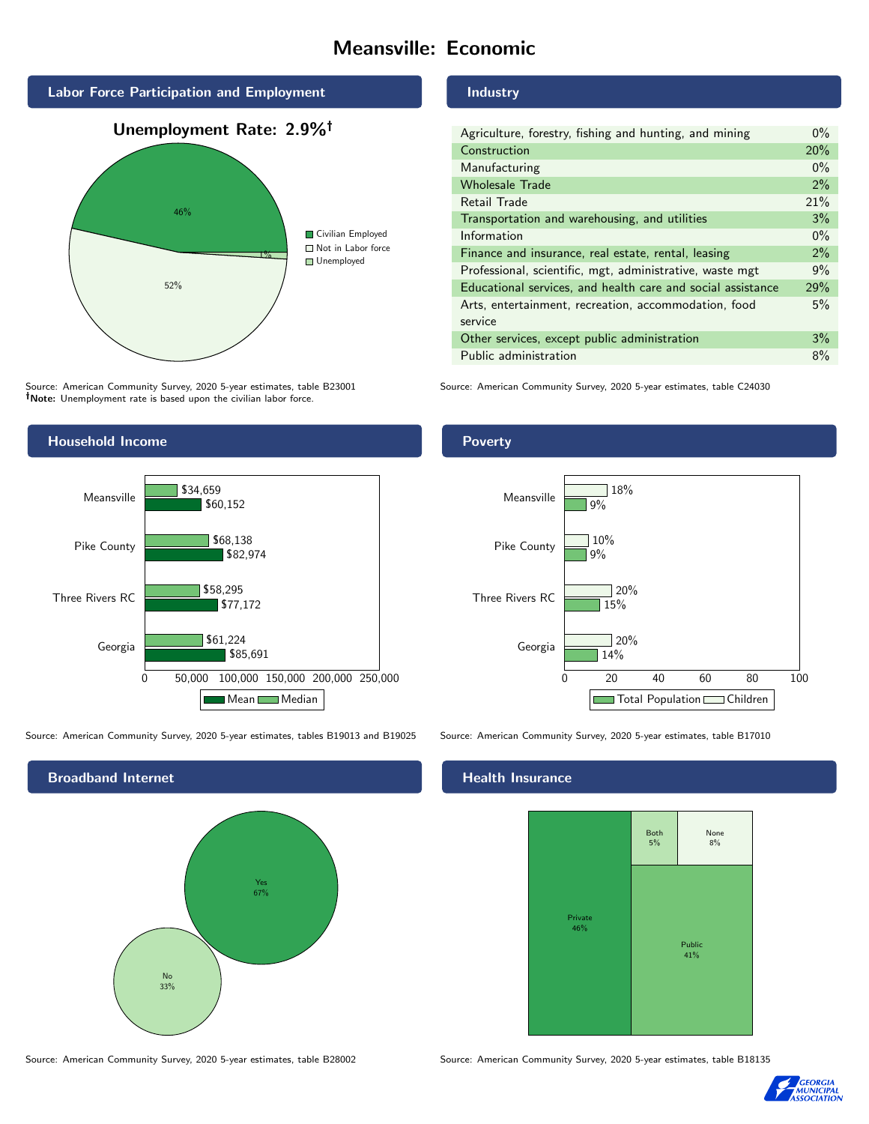# Meansville: Economic



Source: American Community Survey, 2020 5-year estimates, table B23001 Note: Unemployment rate is based upon the civilian labor force.



Source: American Community Survey, 2020 5-year estimates, tables B19013 and B19025 Source: American Community Survey, 2020 5-year estimates, table B17010



Source: American Community Survey, 2020 5-year estimates, table B28002 Source: American Community Survey, 2020 5-year estimates, table B18135

#### Industry

| Agriculture, forestry, fishing and hunting, and mining      |       |
|-------------------------------------------------------------|-------|
| Construction                                                |       |
| Manufacturing                                               | $0\%$ |
| <b>Wholesale Trade</b>                                      | 2%    |
| Retail Trade                                                | 21%   |
| Transportation and warehousing, and utilities               |       |
| Information                                                 |       |
| Finance and insurance, real estate, rental, leasing         |       |
| Professional, scientific, mgt, administrative, waste mgt    |       |
| Educational services, and health care and social assistance |       |
| Arts, entertainment, recreation, accommodation, food        |       |
| service                                                     |       |
| Other services, except public administration                |       |
| Public administration                                       |       |

Source: American Community Survey, 2020 5-year estimates, table C24030

# Poverty



# **Health Insurance**